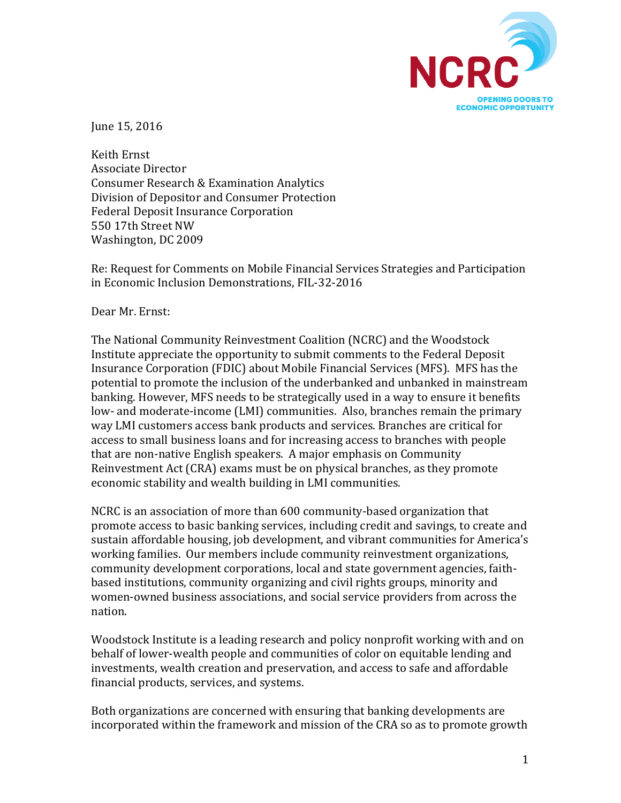

June 15, 2016

Keith Ernst Associate Director Consumer Research & Examination Analytics Division of Depositor and Consumer Protection Federal Deposit Insurance Corporation 550 17th Street NW Washington, DC 2009

Re: Request for Comments on Mobile Financial Services Strategies and Participation in Economic Inclusion Demonstrations, FIL-32-2016

Dear Mr. Ernst:

The National Community Reinvestment Coalition (NCRC) and the Woodstock Institute appreciate the opportunity to submit comments to the Federal Deposit Insurance Corporation (FDIC) about Mobile Financial Services (MFS). MFS has the potential to promote the inclusion of the underbanked and unbanked in mainstream banking. However, MFS needs to be strategically used in a way to ensure it benefits low- and moderate-income (LMI) communities. Also, branches remain the primary way LMI customers access bank products and services. Branches are critical for access to small business loans and for increasing access to branches with people that are non-native English speakers. A major emphasis on Community Reinvestment Act (CRA) exams must be on physical branches, as they promote economic stability and wealth building in LMI communities.

NCRC is an association of more than 600 community-based organization that promote access to basic banking services, including credit and savings, to create and sustain affordable housing, job development, and vibrant communities for America's working families. Our members include community reinvestment organizations, community development corporations, local and state government agencies, faithbased institutions, community organizing and civil rights groups, minority and women-owned business associations, and social service providers from across the nation. 

Woodstock Institute is a leading research and policy nonprofit working with and on behalf of lower-wealth people and communities of color on equitable lending and investments, wealth creation and preservation, and access to safe and affordable financial products, services, and systems.

Both organizations are concerned with ensuring that banking developments are incorporated within the framework and mission of the CRA so as to promote growth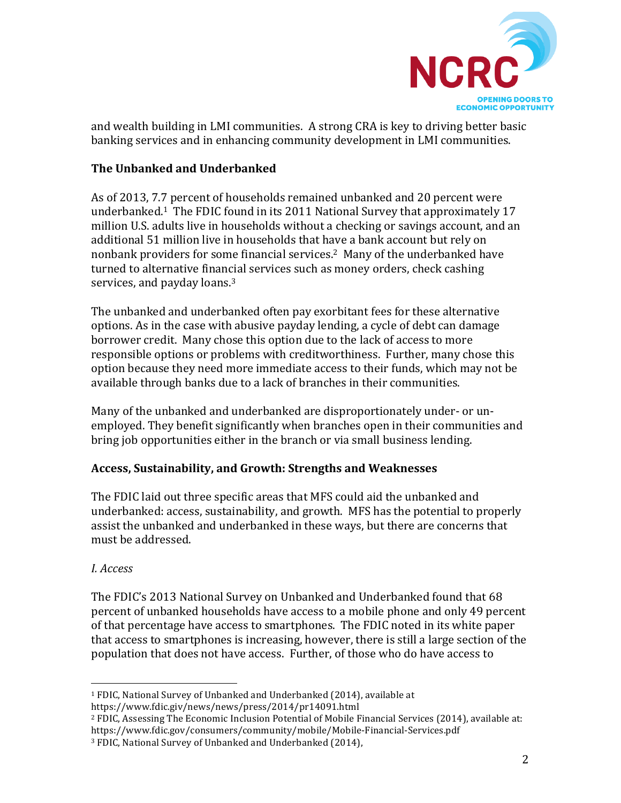

and wealth building in LMI communities. A strong CRA is key to driving better basic banking services and in enhancing community development in LMI communities.

# **The Unbanked and Underbanked**

As of 2013, 7.7 percent of households remained unbanked and 20 percent were underbanked.<sup>1</sup> The FDIC found in its 2011 National Survey that approximately 17 million U.S. adults live in households without a checking or savings account, and an additional 51 million live in households that have a bank account but rely on nonbank providers for some financial services.<sup>2</sup> Many of the underbanked have turned to alternative financial services such as money orders, check cashing services, and payday loans.<sup>3</sup>

The unbanked and underbanked often pay exorbitant fees for these alternative options. As in the case with abusive payday lending, a cycle of debt can damage borrower credit. Many chose this option due to the lack of access to more responsible options or problems with creditworthiness. Further, many chose this option because they need more immediate access to their funds, which may not be available through banks due to a lack of branches in their communities.

Many of the unbanked and underbanked are disproportionately under- or unemployed. They benefit significantly when branches open in their communities and bring job opportunities either in the branch or via small business lending.

## **Access, Sustainability, and Growth: Strengths and Weaknesses**

The FDIC laid out three specific areas that MFS could aid the unbanked and underbanked: access, sustainability, and growth. MFS has the potential to properly assist the unbanked and underbanked in these ways, but there are concerns that must be addressed.

### *I. Access*

The FDIC's 2013 National Survey on Unbanked and Underbanked found that 68 percent of unbanked households have access to a mobile phone and only 49 percent of that percentage have access to smartphones. The FDIC noted in its white paper that access to smartphones is increasing, however, there is still a large section of the population that does not have access. Further, of those who do have access to

 

<sup>&</sup>lt;sup>1</sup> FDIC, National Survey of Unbanked and Underbanked (2014), available at https://www.fdic.giv/news/news/press/2014/pr14091.html

 $2$  FDIC, Assessing The Economic Inclusion Potential of Mobile Financial Services (2014), available at: https://www.fdic.gov/consumers/community/mobile/Mobile-Financial-Services.pdf

<sup>&</sup>lt;sup>3</sup> FDIC, National Survey of Unbanked and Underbanked (2014),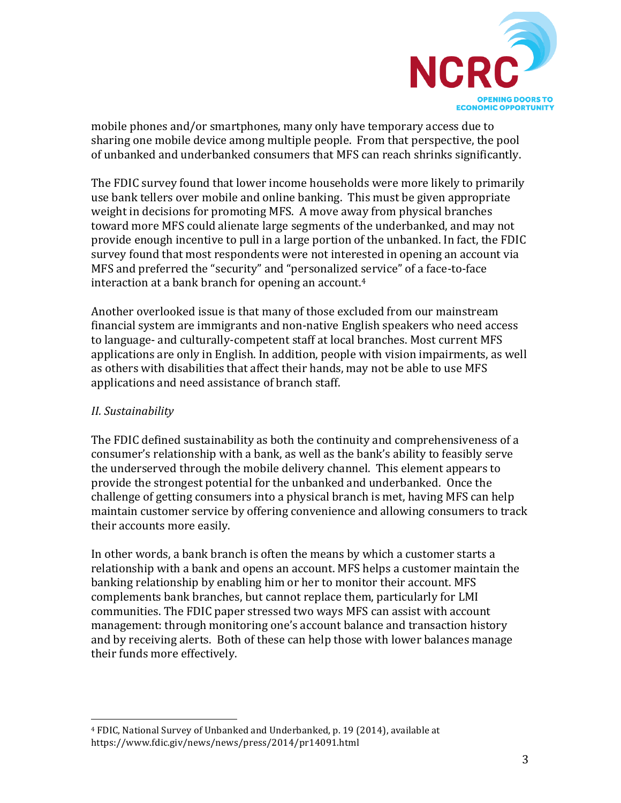

mobile phones and/or smartphones, many only have temporary access due to sharing one mobile device among multiple people. From that perspective, the pool of unbanked and underbanked consumers that MFS can reach shrinks significantly.

The FDIC survey found that lower income households were more likely to primarily use bank tellers over mobile and online banking. This must be given appropriate weight in decisions for promoting MFS. A move away from physical branches toward more MFS could alienate large segments of the underbanked, and may not provide enough incentive to pull in a large portion of the unbanked. In fact, the FDIC survey found that most respondents were not interested in opening an account via MFS and preferred the "security" and "personalized service" of a face-to-face interaction at a bank branch for opening an account.<sup>4</sup>

Another overlooked issue is that many of those excluded from our mainstream financial system are immigrants and non-native English speakers who need access to language- and culturally-competent staff at local branches. Most current MFS applications are only in English. In addition, people with vision impairments, as well as others with disabilities that affect their hands, may not be able to use MFS applications and need assistance of branch staff.

### *II. Sustainability*

 

The FDIC defined sustainability as both the continuity and comprehensiveness of a consumer's relationship with a bank, as well as the bank's ability to feasibly serve the underserved through the mobile delivery channel. This element appears to provide the strongest potential for the unbanked and underbanked. Once the challenge of getting consumers into a physical branch is met, having MFS can help maintain customer service by offering convenience and allowing consumers to track their accounts more easily.

In other words, a bank branch is often the means by which a customer starts a relationship with a bank and opens an account. MFS helps a customer maintain the banking relationship by enabling him or her to monitor their account. MFS complements bank branches, but cannot replace them, particularly for LMI communities. The FDIC paper stressed two ways MFS can assist with account management: through monitoring one's account balance and transaction history and by receiving alerts. Both of these can help those with lower balances manage their funds more effectively.

<sup>&</sup>lt;sup>4</sup> FDIC, National Survey of Unbanked and Underbanked, p. 19 (2014), available at https://www.fdic.giv/news/news/press/2014/pr14091.html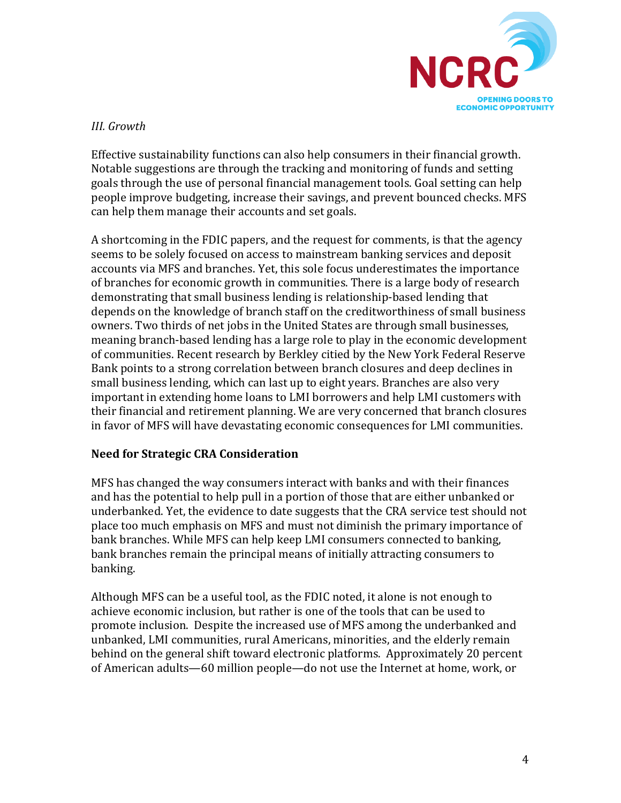

# *III. Growth*

Effective sustainability functions can also help consumers in their financial growth. Notable suggestions are through the tracking and monitoring of funds and setting goals through the use of personal financial management tools. Goal setting can help people improve budgeting, increase their savings, and prevent bounced checks. MFS can help them manage their accounts and set goals.

A shortcoming in the FDIC papers, and the request for comments, is that the agency seems to be solely focused on access to mainstream banking services and deposit accounts via MFS and branches. Yet, this sole focus underestimates the importance of branches for economic growth in communities. There is a large body of research demonstrating that small business lending is relationship-based lending that depends on the knowledge of branch staff on the creditworthiness of small business owners. Two thirds of net jobs in the United States are through small businesses, meaning branch-based lending has a large role to play in the economic development of communities. Recent research by Berkley citied by the New York Federal Reserve Bank points to a strong correlation between branch closures and deep declines in small business lending, which can last up to eight years. Branches are also very important in extending home loans to LMI borrowers and help LMI customers with their financial and retirement planning. We are very concerned that branch closures in favor of MFS will have devastating economic consequences for LMI communities.

### **Need for Strategic CRA Consideration**

MFS has changed the way consumers interact with banks and with their finances and has the potential to help pull in a portion of those that are either unbanked or underbanked. Yet, the evidence to date suggests that the CRA service test should not place too much emphasis on MFS and must not diminish the primary importance of bank branches. While MFS can help keep LMI consumers connected to banking, bank branches remain the principal means of initially attracting consumers to banking.

Although MFS can be a useful tool, as the FDIC noted, it alone is not enough to achieve economic inclusion, but rather is one of the tools that can be used to promote inclusion. Despite the increased use of MFS among the underbanked and unbanked, LMI communities, rural Americans, minorities, and the elderly remain behind on the general shift toward electronic platforms. Approximately 20 percent of American adults—60 million people—do not use the Internet at home, work, or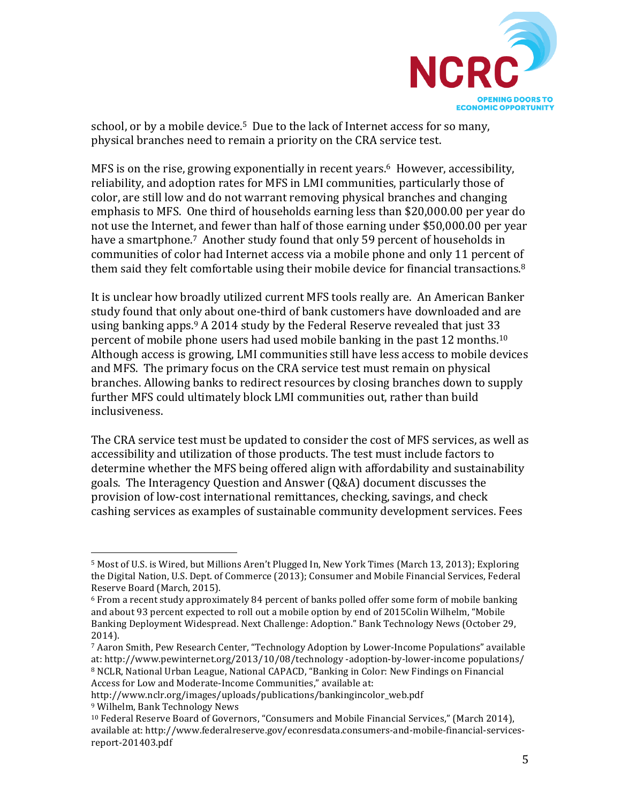

school, or by a mobile device.<sup>5</sup> Due to the lack of Internet access for so many, physical branches need to remain a priority on the CRA service test.

MFS is on the rise, growing exponentially in recent years.<sup>6</sup> However, accessibility, reliability, and adoption rates for MFS in LMI communities, particularly those of color, are still low and do not warrant removing physical branches and changing emphasis to MFS. One third of households earning less than \$20,000.00 per year do not use the Internet, and fewer than half of those earning under \$50,000.00 per year have a smartphone.<sup>7</sup> Another study found that only 59 percent of households in communities of color had Internet access via a mobile phone and only 11 percent of them said they felt comfortable using their mobile device for financial transactions. $8$ 

It is unclear how broadly utilized current MFS tools really are. An American Banker study found that only about one-third of bank customers have downloaded and are using banking apps.  $9A 2014$  study by the Federal Reserve revealed that just 33 percent of mobile phone users had used mobile banking in the past 12 months.<sup>10</sup> Although access is growing, LMI communities still have less access to mobile devices and MFS. The primary focus on the CRA service test must remain on physical branches. Allowing banks to redirect resources by closing branches down to supply further MFS could ultimately block LMI communities out, rather than build inclusiveness. 

The CRA service test must be updated to consider the cost of MFS services, as well as accessibility and utilization of those products. The test must include factors to determine whether the MFS being offered align with affordability and sustainability goals. The Interagency Question and Answer (Q&A) document discusses the provision of low-cost international remittances, checking, savings, and check cashing services as examples of sustainable community development services. Fees

 

<sup>&</sup>lt;sup>5</sup> Most of U.S. is Wired, but Millions Aren't Plugged In, New York Times (March 13, 2013); Exploring the Digital Nation, U.S. Dept. of Commerce (2013); Consumer and Mobile Financial Services, Federal Reserve Board (March, 2015).

 $6$  From a recent study approximately 84 percent of banks polled offer some form of mobile banking and about 93 percent expected to roll out a mobile option by end of 2015Colin Wilhelm, "Mobile Banking Deployment Widespread. Next Challenge: Adoption." Bank Technology News (October 29, 2014). 

<sup>&</sup>lt;sup>7</sup> Aaron Smith, Pew Research Center, "Technology Adoption by Lower-Income Populations" available at: http://www.pewinternet.org/2013/10/08/technology -adoption-by-lower-income populations/ <sup>8</sup> NCLR, National Urban League, National CAPACD, "Banking in Color: New Findings on Financial Access for Low and Moderate-Income Communities," available at:

http://www.nclr.org/images/uploads/publications/bankingincolor\_web.pdf

<sup>&</sup>lt;sup>9</sup> Wilhelm, Bank Technology News

 $10$  Federal Reserve Board of Governors, "Consumers and Mobile Financial Services," (March 2014), available at: http://www.federalreserve.gov/econresdata.consumers-and-mobile-financial-servicesreport-201403.pdf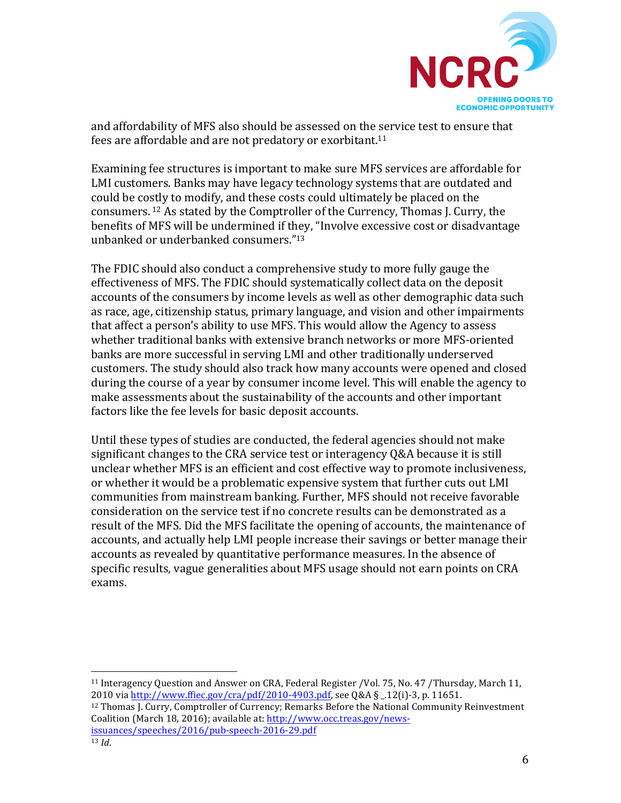

and affordability of MFS also should be assessed on the service test to ensure that fees are affordable and are not predatory or exorbitant.<sup>11</sup>

Examining fee structures is important to make sure MFS services are affordable for LMI customers. Banks may have legacy technology systems that are outdated and could be costly to modify, and these costs could ultimately be placed on the consumers. <sup>12</sup> As stated by the Comptroller of the Currency, Thomas J. Curry, the benefits of MFS will be undermined if they, "Involve excessive cost or disadvantage unbanked or underbanked consumers."<sup>13</sup>

The FDIC should also conduct a comprehensive study to more fully gauge the effectiveness of MFS. The FDIC should systematically collect data on the deposit accounts of the consumers by income levels as well as other demographic data such as race, age, citizenship status, primary language, and vision and other impairments that affect a person's ability to use MFS. This would allow the Agency to assess whether traditional banks with extensive branch networks or more MFS-oriented banks are more successful in serving LMI and other traditionally underserved customers. The study should also track how many accounts were opened and closed during the course of a year by consumer income level. This will enable the agency to make assessments about the sustainability of the accounts and other important factors like the fee levels for basic deposit accounts.

Until these types of studies are conducted, the federal agencies should not make significant changes to the CRA service test or interagency O&A because it is still unclear whether MFS is an efficient and cost effective way to promote inclusiveness, or whether it would be a problematic expensive system that further cuts out LMI communities from mainstream banking. Further, MFS should not receive favorable consideration on the service test if no concrete results can be demonstrated as a result of the MFS. Did the MFS facilitate the opening of accounts, the maintenance of accounts, and actually help LMI people increase their savings or better manage their accounts as revealed by quantitative performance measures. In the absence of specific results, vague generalities about MFS usage should not earn points on CRA exams. 

<sup>12</sup> Thomas J. Curry, Comptroller of Currency; Remarks Before the National Community Reinvestment Coalition (March 18, 2016); available at: http://www.occ.treas.gov/newsissuances/speeches/2016/pub-speech-2016-29.pdf

 

<sup>&</sup>lt;sup>11</sup> Interagency Question and Answer on CRA, Federal Register /Vol. 75, No. 47 /Thursday, March 11, 2010 via http://www.ffiec.gov/cra/pdf/2010-4903.pdf, see Q&A § \_.12(i)-3, p. 11651.